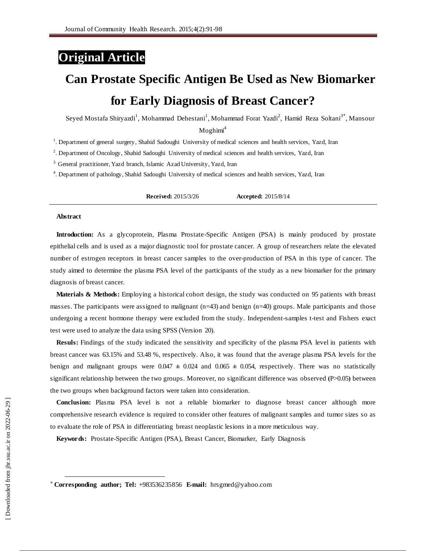# **Original Article**

# **Can Prostate Specific Antigen Be Used as New Biomarker for Early Diagnosis of Breast Cancer?**

Seyed Mostafa Shiryazdi<sup>1</sup>, Mohammad Dehestani<sup>1</sup>, Mohammad Forat Yazdi<sup>2</sup>, Hamid Reza Soltani<sup>3\*</sup>, Mansour

 $M$ oghimi<sup>4</sup>

<sup>1</sup>. Department of general surgery, Shahid Sadoughi University of medical sciences and health services, Yazd, Iran

2 . Department of Oncology, Shahid Sadoughi University of medical sciences and health services, Yazd, Iran

<sup>3.</sup> General practitioner, Yazd branch, Islamic Azad University, Yazd, Iran

4 . Department of pathology, Shahid Sadoughi University of medical sciences and health services, Yazd, Iran

**Received:** 2015/3/26 **Accepted:** 2015/8/14

#### **Abstract**

l

**Introduction:** As a glycoprotein, Plasma Prostate-Specific Antigen (PSA) is mainly produced by prostate epithelial cells and is used as a major diagnostic tool for prostate cancer. A group of researchers relate the elevated number of estrogen receptors in breast cancer samples to the over-production of PSA in this type of cancer. The study aimed to determine the plasma PSA level of the participants of the study as a new biomarker for the primary diagnosis of breast cancer.

**Materials & Methods:** Employing a historical cohort design, the study was conducted on 95 patients with breast masses. The participants were assigned to malignant (n=43) and benign (n=40) groups. Male participants and those undergoing a recent hormone therapy were excluded from the study. Independent-samples t-test and Fishers exact test were used to analyze the data using SPSS (Version 20).

**Resuls:** Findings of the study indicated the sensitivity and specificity of the plasma PSA level in patients with breast cancer was 63.15% and 53.48 %, respectively. Also, it was found that the average plasma PSA levels for the benign and malignant groups were  $0.047 \pm 0.024$  and  $0.065 \pm 0.054$ , respectively. There was no statistically significant relationship between the two groups. Moreover, no significant difference was observed (P>0.05) between the two groups when background factors were taken into consideration.

**Conclusion:** Plasma PSA level is not a reliable biomarker to diagnose breast cancer although more comprehensive research evidence is required to consider other features of malignant samples and tumor sizes so as to evaluate the role of PSA in differentiating breast neoplastic lesions in a more meticulous way.

**Keywords:** Prostate-Specific Antigen (PSA), Breast Cancer, Biomarker, Early Diagnosis

<sup>\*</sup> **Corresponding author; Tel:** +983536235856 **E-mail:** [hrsgmed@yahoo.com](mailto:hrsgmed@yahoo.com)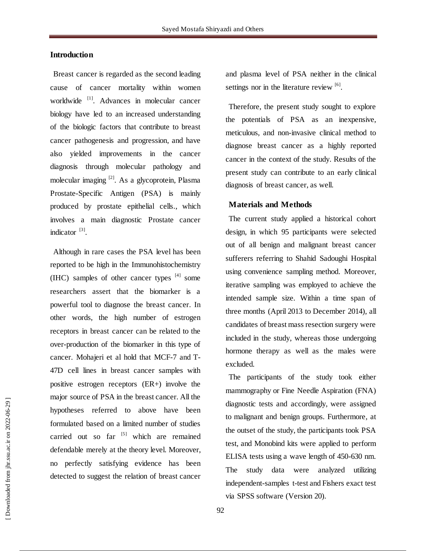# **Introduction**

Breast cancer is regarded as the second leading cause of cancer mortality within women worldwide <sup>[1]</sup>. Advances in molecular cancer biology have led to an increased understanding of the biologic factors that contribute to breast cancer pathogenesis and progression, and have also yielded improvements in the cancer diagnosis through molecular pathology and molecular imaging <sup>[2]</sup>. As a glycoprotein, Plasma Prostate-Specific Antigen (PSA) is mainly produced by prostate epithelial cells., which involves a main diagnostic Prostate cancer indicator<sup>[3]</sup>.

Although in rare cases the PSA level has been reported to be high in the Immunohistochemistry  $(III)$  samples of other cancer types  $[4]$  some researchers assert that the biomarker is a powerful tool to diagnose the breast cancer. In other words, the high number of estrogen receptors in breast cancer can be related to the over-production of the biomarker in this type of cancer. Mohajeri et al hold that MCF-7 and T-47D cell lines in breast cancer samples with positive estrogen receptors (ER+) involve the major source of PSA in the breast cancer. All the hypotheses referred to above have been formulated based on a limited number of studies carried out so far <sup>[5]</sup> which are remained defendable merely at the theory level. Moreover, no perfectly satisfying evidence has been detected to suggest the relation of breast cancer

and plasma level of PSA neither in the clinical settings nor in the literature review  $[6]$ .

Therefore, the present study sought to explore the potentials of PSA as an inexpensive, meticulous, and non-invasive clinical method to diagnose breast cancer as a highly reported cancer in the context of the study. Results of the present study can contribute to an early clinical diagnosis of breast cancer, as well.

### **Materials and Methods**

The current study applied a historical cohort design, in which 95 participants were selected out of all benign and malignant breast cancer sufferers referring to Shahid Sadoughi Hospital using convenience sampling method. Moreover, iterative sampling was employed to achieve the intended sample size. Within a time span of three months (April 2013 to December 2014), all candidates of breast mass resection surgery were included in the study, whereas those undergoing hormone therapy as well as the males were excluded.

The participants of the study took either mammography or Fine Needle Aspiration (FNA) diagnostic tests and accordingly, were assigned to malignant and benign groups. Furthermore, at the outset of the study, the participants took PSA test, and Monobind kits were applied to perform ELISA tests using a wave length of 450-630 nm. The study data were analyzed utilizing independent-samples t-test and Fishers exact test via SPSS software (Version 20).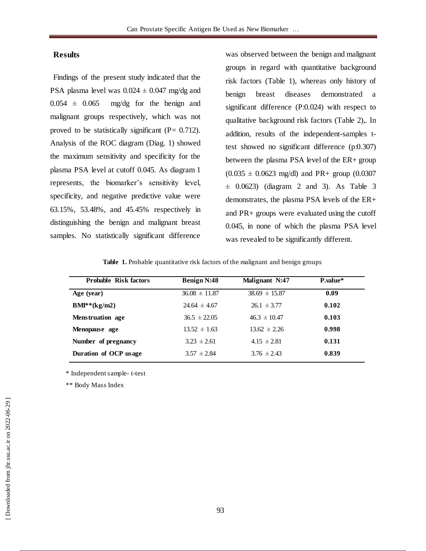# **Results**

Findings of the present study indicated that the PSA plasma level was  $0.024 \pm 0.047$  mg/dg and  $0.054 \pm 0.065$  mg/dg for the benign and malignant groups respectively, which was not proved to be statistically significant ( $P = 0.712$ ). Analysis of the ROC diagram (Diag. 1) showed the maximum sensitivity and specificity for the plasma PSA level at cutoff 0.045. As diagram 1 represents, the biomarker's sensitivity level, specificity, and negative predictive value were 63.15%, 53.48%, and 45.45% respectively in distinguishing the benign and malignant breast samples. No statistically significant difference

was observed between the benign and malignant groups in regard with quantitative background risk factors (Table 1), whereas only history of benign breast diseases demonstrated a significant difference (P:0.024) with respect to qualitative background risk factors (Table 2),. In addition, results of the independent-samples ttest showed no significant difference (p:0.307) between the plasma PSA level of the ER+ group  $(0.035 \pm 0.0623 \text{ mg/dl})$  and PR+ group  $(0.0307$  $\pm$  0.0623) (diagram 2 and 3). As Table 3 demonstrates, the plasma PSA levels of the ER+ and PR+ groups were evaluated using the cutoff 0.045, in none of which the plasma PSA level was revealed to be significantly different.

#### Table 1. Probable quantitative risk factors of the malignant and benign groups

| <b>Probable Risk factors</b> | <b>Benign N:48</b> | Malignant N:47    | <b>P</b> .value* |
|------------------------------|--------------------|-------------------|------------------|
| Age (year)                   | $36.08 \pm 11.87$  | $38.69 \pm 15.87$ | 0.09             |
| $BM**(kg/m2)$                | $24.64 \pm 4.67$   | $26.1 \pm 3.77$   | 0.102            |
| <b>Menstruation</b> age      | $36.5 \pm 22.05$   | $46.3 \pm 10.47$  | 0.103            |
| Menopause age                | $13.52 \pm 1.63$   | $13.62 \pm 2.26$  | 0.998            |
| Number of pregnancy          | $3.23 \pm 2.61$    | $4.15 \pm 2.81$   | 0.131            |
| Duration of OCP usage        | $3.57 \pm 2.84$    | $3.76 \pm 2.43$   | 0.839            |
|                              |                    |                   |                  |

\* Independent sample- t-test

\*\* Body Mass Index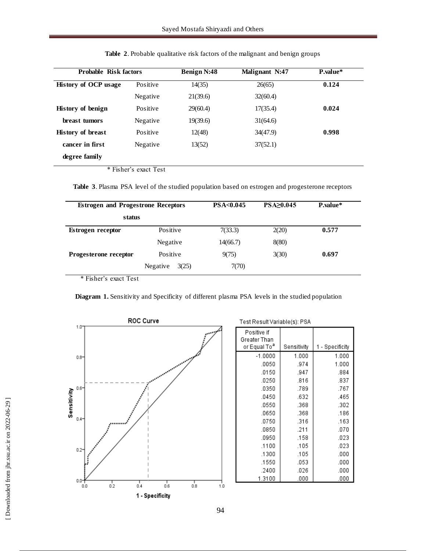| <b>Probable Risk factors</b> |                                                                          | <b>Benign N:48</b> | Malignant N:47 | P.value* |  |
|------------------------------|--------------------------------------------------------------------------|--------------------|----------------|----------|--|
| <b>History of OCP usage</b>  | Positive                                                                 | 14(35)             | 26(65)         | 0.124    |  |
|                              | Negative                                                                 | 21(39.6)           | 32(60.4)       |          |  |
| <b>History of benign</b>     | Positive                                                                 | 29(60.4)           | 17(35.4)       | 0.024    |  |
| breast tumors                | Negative                                                                 | 19(39.6)           | 31(64.6)       |          |  |
| <b>History of breast</b>     | Positive                                                                 | 12(48)             | 34(47.9)       | 0.998    |  |
| cancer in first              | Negative                                                                 | 13(52)             | 37(52.1)       |          |  |
| degree family                |                                                                          |                    |                |          |  |
|                              | $\triangle$ $\Gamma$ and $\Gamma$ and $\Gamma$ and $\Gamma$ and $\Gamma$ |                    |                |          |  |

**Table 2**. Probable qualitative risk factors of the malignant and benign groups

\* Fisher's exact Test

**Table 3**. Plasma PSA level of the studied population based on estrogen and progesterone receptors

| <b>Estrogen and Progestrone Receptors</b> |                   | PSA<0.045 | <b>PSA&gt;0.045</b> | P.value* |
|-------------------------------------------|-------------------|-----------|---------------------|----------|
| status                                    |                   |           |                     |          |
| <b>Estrogen</b> receptor                  | Positive          | 7(33.3)   | 2(20)               | 0.577    |
|                                           | Negative          | 14(66.7)  | 8(80)               |          |
| Progesterone receptor                     | Positive          | 9(75)     | 3(30)               | 0.697    |
|                                           | Negative<br>3(25) | 7(70)     |                     |          |

\* Fisher's exact Test

**Diagram 1.** Sensitivity and Specificity of different plasma PSA levels in the studied population



Test Result Variable(s): PSA

| Positive if<br>Greater Than<br>or Equal To <sup>a</sup> | Sensitivity | - Specificity<br>1 |  |  |
|---------------------------------------------------------|-------------|--------------------|--|--|
| $-1.0000$                                               | 1.000       | 1.000              |  |  |
| .0050                                                   | .974        | 1.000              |  |  |
| .0150                                                   | .947        | .884               |  |  |
| .0250                                                   | .816        | .837               |  |  |
| .0350                                                   | .789        | .767               |  |  |
| .0450                                                   | .632        | .465               |  |  |
| .0550                                                   | .368        | .302               |  |  |
| .0650                                                   | .368        | .186               |  |  |
| .0750                                                   | .316        | .163               |  |  |
| .0850                                                   | .211        | .070               |  |  |
| .0950                                                   | .158        | .023               |  |  |
| .1100                                                   | .105        | .023               |  |  |
| .1300                                                   | .105        | .000               |  |  |
| .1550                                                   | .053        | .000               |  |  |
| .2400                                                   | .026        | .000               |  |  |
| 1.3100                                                  | .000        | .000               |  |  |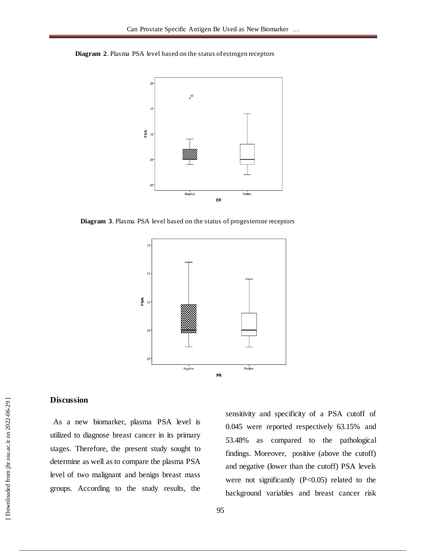**Diagram 2**. Plasma PSA level based on the status of estrogen receptors



**Diagram 3**. Plasma PSA level based on the status of progesterone receptors



# **Discussion**

As a new biomarker, plasma PSA level is utilized to diagnose breast cancer in its primary stages. Therefore, the present study sought to determine as well as to compare the plasma PSA level of two malignant and benign breast mass groups. According to the study results, the

sensitivity and specificity of a PSA cutoff of 0.045 were reported respectively 63.15% and 53.48% as compared to the pathological findings. Moreover, positive (above the cutoff) and negative (lower than the cutoff) PSA levels were not significantly  $(P<0.05)$  related to the background variables and breast cancer risk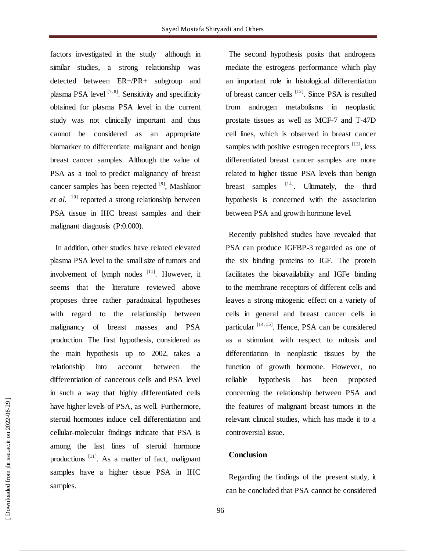factors investigated in the study although in similar studies, a strong relationship was detected between ER+/PR+ subgroup and plasma PSA level <sup>[7, 8]</sup>. Sensitivity and specificity obtained for plasma PSA level in the current study was not clinically important and thus cannot be considered as an appropriate biomarker to differentiate malignant and benign breast cancer samples. Although the value of PSA as a tool to predict malignancy of breast cancer samples has been rejected <sup>[9]</sup>, Mashkoor et al.<sup>[10]</sup> reported a strong relationship between PSA tissue in IHC breast samples and their malignant diagnosis (P:0.000).

In addition, other studies have related elevated plasma PSA level to the small size of tumors and involvement of lymph nodes  $[11]$ . However, it seems that the literature reviewed above proposes three rather paradoxical hypotheses with regard to the relationship between malignancy of breast masses and PSA production. The first hypothesis, considered as the main hypothesis up to 2002, takes a relationship into account between the differentiation of cancerous cells and PSA level in such a way that highly differentiated cells have higher levels of PSA, as well. Furthermore, steroid hormones induce cell differentiation and cellular-molecular findings indicate that PSA is among the last lines of steroid hormone productions<sup>[11]</sup>. As a matter of fact, malignant samples have a higher tissue PSA in IHC samples.

The second hypothesis posits that androgens mediate the estrogens performance which play an important role in histological differentiation of breast cancer cells <sup>[12]</sup>. Since PSA is resulted from androgen metabolisms in neoplastic prostate tissues as well as MCF-7 and T-47D cell lines, which is observed in breast cancer samples with positive estrogen receptors  $[13]$ , less differentiated breast cancer samples are more related to higher tissue PSA levels than benign breast samples  $[14]$ . Ultimately, the third hypothesis is concerned with the association between PSA and growth hormone level.

Recently published studies have revealed that PSA can produce IGFBP-3 regarded as one of the six binding proteins to IGF. The protein facilitates the bioavailability and IGFe binding to the membrane receptors of different cells and leaves a strong mitogenic effect on a variety of cells in general and breast cancer cells in particular [14, 15]. Hence, PSA can be considered as a stimulant with respect to mitosis and differentiation in neoplastic tissues by the function of growth hormone. However, no reliable hypothesis has been proposed concerning the relationship between PSA and the features of malignant breast tumors in the relevant clinical studies, which has made it to a controversial issue.

# **Conclusion**

Regarding the findings of the present study, it can be concluded that PSA cannot be considered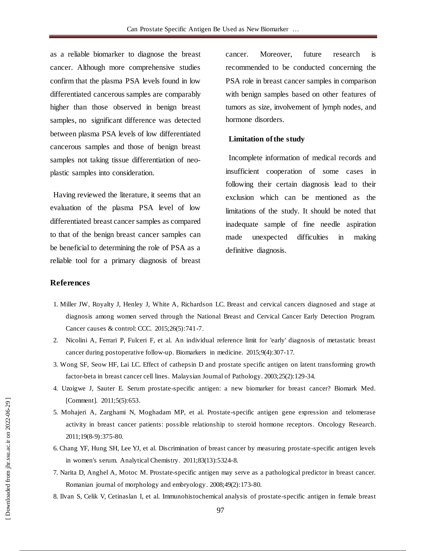as a reliable biomarker to diagnose the breast cancer. Although more comprehensive studies confirm that the plasma PSA levels found in low differentiated cancerous samples are comparably higher than those observed in benign breast samples, no significant difference was detected between plasma PSA levels of low differentiated cancerous samples and those of benign breast samples not taking tissue differentiation of neoplastic samples into consideration.

Having reviewed the literature, it seems that an evaluation of the plasma PSA level of low differentiated breast cancer samples as compared to that of the benign breast cancer samples can be beneficial to determining the role of PSA as a reliable tool for a primary diagnosis of breast cancer. Moreover, future research is recommended to be conducted concerning the PSA role in breast cancer samples in comparison with benign samples based on other features of tumors as size, involvement of lymph nodes, and hormone disorders.

#### **Limitation of the study**

Incomplete information of medical records and insufficient cooperation of some cases in following their certain diagnosis lead to their exclusion which can be mentioned as the limitations of the study. It should be noted that inadequate sample of fine needle aspiration made unexpected difficulties in making definitive diagnosis.

## **References**

- 1. Miller JW, Royalty J, Henley J, White A, Richardson LC. Breast and cervical cancers diagnosed and stage at diagnosis among women served through the National Breast and Cervical Cancer Early Detection Program. Cancer causes & control: CCC. 2015;26(5):741-7.
- 2. Nicolini A, Ferrari P, Fulceri F, et al. An individual reference limit for 'early' diagnosis of metastatic breast cancer during postoperative follow-up. Biomarkers in medicine. 2015;9(4):307-17.
- 3. Wong SF, Seow HF, Lai LC. Effect of cathepsin D and prostate specific antigen on latent transforming growth factor-beta in breast cancer cell lines. Malaysian Journal of Pathology. 2003;25(2):129-34.
- 4. Uzoigwe J, Sauter E. Serum prostate-specific antigen: a new biomarker for breast cancer? Biomark Med. [Comment]. 2011;5(5):653.
- 5. Mohajeri A, Zarghami N, Moghadam MP, et al. Prostate-specific antigen gene expression and telomerase activity in breast cancer patients: possible relationship to steroid hormone receptors. Oncology Research. 2011;19(8-9):375-80.
- 6. Chang YF, Hung SH, Lee YJ, et al. Discrimination of breast cancer by measuring prostate-specific antigen levels in women's serum. Analytical Chemistry. 2011;83(13):5324-8.
- 7. Narita D, Anghel A, Motoc M. Prostate-specific antigen may serve as a pathological predictor in breast cancer. Romanian journal of morphology and embryology. 2008;49(2):173-80.
- 8. Ilvan S, Celik V, Cetinaslan I, et al. Immunohistochemical analysis of prostate-specific antigen in female breast